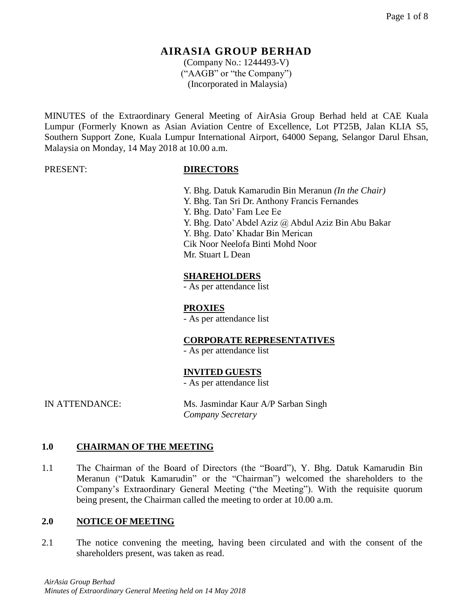(Company No.: 1244493-V) ("AAGB" or "the Company") (Incorporated in Malaysia)

MINUTES of the Extraordinary General Meeting of AirAsia Group Berhad held at CAE Kuala Lumpur (Formerly Known as Asian Aviation Centre of Excellence, Lot PT25B, Jalan KLIA S5, Southern Support Zone, Kuala Lumpur International Airport, 64000 Sepang, Selangor Darul Ehsan, Malaysia on Monday, 14 May 2018 at 10.00 a.m.

#### PRESENT: **DIRECTORS**

Y. Bhg. Datuk Kamarudin Bin Meranun *(In the Chair)* Y. Bhg. Tan Sri Dr. Anthony Francis Fernandes Y. Bhg. Dato' Fam Lee Ee Y. Bhg. Dato' Abdel Aziz @ Abdul Aziz Bin Abu Bakar Y. Bhg. Dato' Khadar Bin Merican Cik Noor Neelofa Binti Mohd Noor Mr. Stuart L Dean

#### **SHAREHOLDERS**

- As per attendance list

## **PROXIES**

- As per attendance list

## **CORPORATE REPRESENTATIVES**

- As per attendance list

## **INVITED GUESTS**

- As per attendance list

IN ATTENDANCE: Ms. Jasmindar Kaur A/P Sarban Singh *Company Secretary*

#### **1.0 CHAIRMAN OF THE MEETING**

1.1 The Chairman of the Board of Directors (the "Board"), Y. Bhg. Datuk Kamarudin Bin Meranun ("Datuk Kamarudin" or the "Chairman") welcomed the shareholders to the Company's Extraordinary General Meeting ("the Meeting"). With the requisite quorum being present, the Chairman called the meeting to order at 10.00 a.m.

#### **2.0 NOTICE OF MEETING**

2.1 The notice convening the meeting, having been circulated and with the consent of the shareholders present, was taken as read.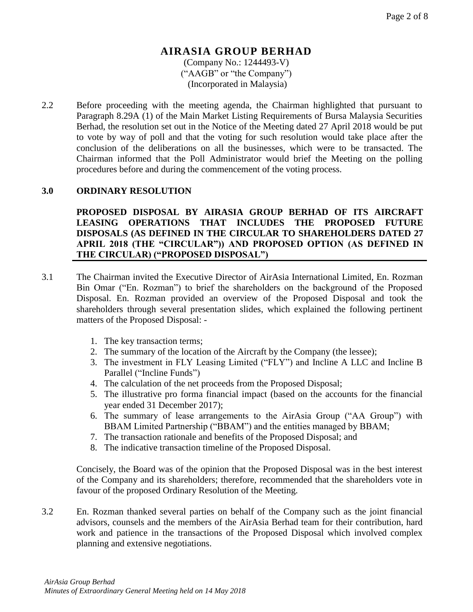(Company No.: 1244493-V) ("AAGB" or "the Company") (Incorporated in Malaysia)

2.2 Before proceeding with the meeting agenda, the Chairman highlighted that pursuant to Paragraph 8.29A (1) of the Main Market Listing Requirements of Bursa Malaysia Securities Berhad, the resolution set out in the Notice of the Meeting dated 27 April 2018 would be put to vote by way of poll and that the voting for such resolution would take place after the conclusion of the deliberations on all the businesses, which were to be transacted. The Chairman informed that the Poll Administrator would brief the Meeting on the polling procedures before and during the commencement of the voting process.

#### **3.0 ORDINARY RESOLUTION**

**PROPOSED DISPOSAL BY AIRASIA GROUP BERHAD OF ITS AIRCRAFT LEASING OPERATIONS THAT INCLUDES THE PROPOSED FUTURE DISPOSALS (AS DEFINED IN THE CIRCULAR TO SHAREHOLDERS DATED 27 APRIL 2018 (THE "CIRCULAR")) AND PROPOSED OPTION (AS DEFINED IN THE CIRCULAR) ("PROPOSED DISPOSAL")**

- 3.1 The Chairman invited the Executive Director of AirAsia International Limited, En. Rozman Bin Omar ("En. Rozman") to brief the shareholders on the background of the Proposed Disposal. En. Rozman provided an overview of the Proposed Disposal and took the shareholders through several presentation slides, which explained the following pertinent matters of the Proposed Disposal: -
	- 1. The key transaction terms;
	- 2. The summary of the location of the Aircraft by the Company (the lessee);
	- 3. The investment in FLY Leasing Limited ("FLY") and Incline A LLC and Incline B Parallel ("Incline Funds")
	- 4. The calculation of the net proceeds from the Proposed Disposal;
	- 5. The illustrative pro forma financial impact (based on the accounts for the financial year ended 31 December 2017);
	- 6. The summary of lease arrangements to the AirAsia Group ("AA Group") with BBAM Limited Partnership ("BBAM") and the entities managed by BBAM;
	- 7. The transaction rationale and benefits of the Proposed Disposal; and
	- 8. The indicative transaction timeline of the Proposed Disposal.

Concisely, the Board was of the opinion that the Proposed Disposal was in the best interest of the Company and its shareholders; therefore, recommended that the shareholders vote in favour of the proposed Ordinary Resolution of the Meeting.

3.2 En. Rozman thanked several parties on behalf of the Company such as the joint financial advisors, counsels and the members of the AirAsia Berhad team for their contribution, hard work and patience in the transactions of the Proposed Disposal which involved complex planning and extensive negotiations.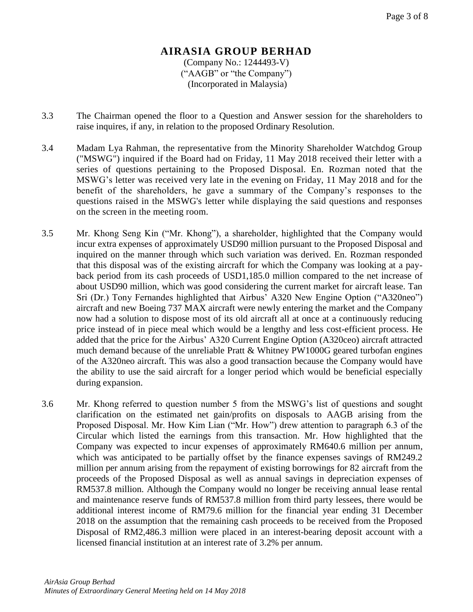#### **AIRASIA GROUP BERHAD** (Company No.: 1244493-V) ("AAGB" or "the Company") (Incorporated in Malaysia)

- 3.3 The Chairman opened the floor to a Question and Answer session for the shareholders to raise inquires, if any, in relation to the proposed Ordinary Resolution.
- 3.4 Madam Lya Rahman, the representative from the Minority Shareholder Watchdog Group ("MSWG") inquired if the Board had on Friday, 11 May 2018 received their letter with a series of questions pertaining to the Proposed Disposal. En. Rozman noted that the MSWG's letter was received very late in the evening on Friday, 11 May 2018 and for the benefit of the shareholders, he gave a summary of the Company's responses to the questions raised in the MSWG's letter while displaying the said questions and responses on the screen in the meeting room.
- 3.5 Mr. Khong Seng Kin ("Mr. Khong"), a shareholder, highlighted that the Company would incur extra expenses of approximately USD90 million pursuant to the Proposed Disposal and inquired on the manner through which such variation was derived. En. Rozman responded that this disposal was of the existing aircraft for which the Company was looking at a payback period from its cash proceeds of USD1,185.0 million compared to the net increase of about USD90 million, which was good considering the current market for aircraft lease. Tan Sri (Dr.) Tony Fernandes highlighted that Airbus' A320 New Engine Option ("A320neo") aircraft and new Boeing 737 MAX aircraft were newly entering the market and the Company now had a solution to dispose most of its old aircraft all at once at a continuously reducing price instead of in piece meal which would be a lengthy and less cost-efficient process. He added that the price for the Airbus' A320 Current Engine Option (A320ceo) aircraft attracted much demand because of the unreliable [Pratt & Whitney PW1000G](https://en.wikipedia.org/wiki/Pratt_%26_Whitney_PW1000G) geared turbofan engines of the A320neo aircraft. This was also a good transaction because the Company would have the ability to use the said aircraft for a longer period which would be beneficial especially during expansion.
- 3.6 Mr. Khong referred to question number 5 from the MSWG's list of questions and sought clarification on the estimated net gain/profits on disposals to AAGB arising from the Proposed Disposal. Mr. How Kim Lian ("Mr. How") drew attention to paragraph 6.3 of the Circular which listed the earnings from this transaction. Mr. How highlighted that the Company was expected to incur expenses of approximately RM640.6 million per annum, which was anticipated to be partially offset by the finance expenses savings of RM249.2 million per annum arising from the repayment of existing borrowings for 82 aircraft from the proceeds of the Proposed Disposal as well as annual savings in depreciation expenses of RM537.8 million. Although the Company would no longer be receiving annual lease rental and maintenance reserve funds of RM537.8 million from third party lessees, there would be additional interest income of RM79.6 million for the financial year ending 31 December 2018 on the assumption that the remaining cash proceeds to be received from the Proposed Disposal of RM2,486.3 million were placed in an interest-bearing deposit account with a licensed financial institution at an interest rate of 3.2% per annum.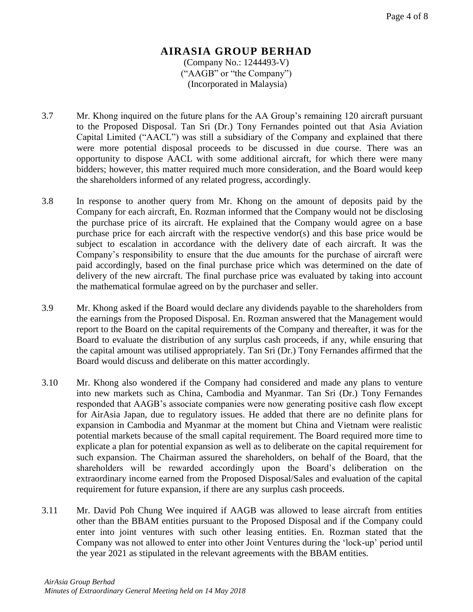#### **AIRASIA GROUP BERHAD** (Company No.: 1244493-V) ("AAGB" or "the Company") (Incorporated in Malaysia)

- 3.7 Mr. Khong inquired on the future plans for the AA Group's remaining 120 aircraft pursuant to the Proposed Disposal. Tan Sri (Dr.) Tony Fernandes pointed out that Asia Aviation Capital Limited ("AACL") was still a subsidiary of the Company and explained that there were more potential disposal proceeds to be discussed in due course. There was an opportunity to dispose AACL with some additional aircraft, for which there were many bidders; however, this matter required much more consideration, and the Board would keep the shareholders informed of any related progress, accordingly.
- 3.8 In response to another query from Mr. Khong on the amount of deposits paid by the Company for each aircraft, En. Rozman informed that the Company would not be disclosing the purchase price of its aircraft. He explained that the Company would agree on a base purchase price for each aircraft with the respective vendor(s) and this base price would be subject to escalation in accordance with the delivery date of each aircraft. It was the Company's responsibility to ensure that the due amounts for the purchase of aircraft were paid accordingly, based on the final purchase price which was determined on the date of delivery of the new aircraft. The final purchase price was evaluated by taking into account the mathematical formulae agreed on by the purchaser and seller.
- 3.9 Mr. Khong asked if the Board would declare any dividends payable to the shareholders from the earnings from the Proposed Disposal. En. Rozman answered that the Management would report to the Board on the capital requirements of the Company and thereafter, it was for the Board to evaluate the distribution of any surplus cash proceeds, if any, while ensuring that the capital amount was utilised appropriately. Tan Sri (Dr.) Tony Fernandes affirmed that the Board would discuss and deliberate on this matter accordingly.
- 3.10 Mr. Khong also wondered if the Company had considered and made any plans to venture into new markets such as China, Cambodia and Myanmar. Tan Sri (Dr.) Tony Fernandes responded that AAGB's associate companies were now generating positive cash flow except for AirAsia Japan, due to regulatory issues. He added that there are no definite plans for expansion in Cambodia and Myanmar at the moment but China and Vietnam were realistic potential markets because of the small capital requirement. The Board required more time to explicate a plan for potential expansion as well as to deliberate on the capital requirement for such expansion. The Chairman assured the shareholders, on behalf of the Board, that the shareholders will be rewarded accordingly upon the Board's deliberation on the extraordinary income earned from the Proposed Disposal/Sales and evaluation of the capital requirement for future expansion, if there are any surplus cash proceeds.
- 3.11 Mr. David Poh Chung Wee inquired if AAGB was allowed to lease aircraft from entities other than the BBAM entities pursuant to the Proposed Disposal and if the Company could enter into joint ventures with such other leasing entities. En. Rozman stated that the Company was not allowed to enter into other Joint Ventures during the 'lock-up' period until the year 2021 as stipulated in the relevant agreements with the BBAM entities.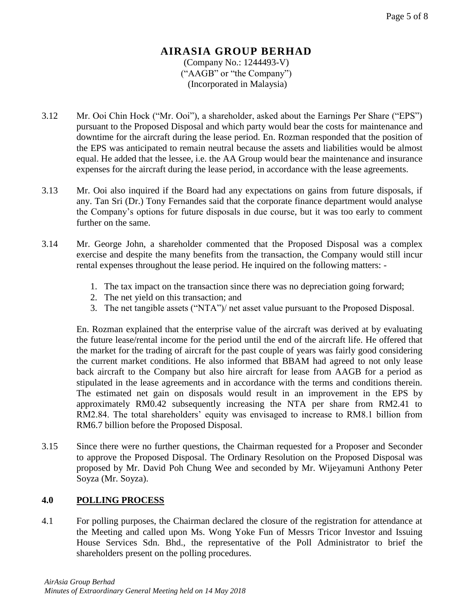#### **AIRASIA GROUP BERHAD** (Company No.: 1244493-V) ("AAGB" or "the Company") (Incorporated in Malaysia)

- 3.12 Mr. Ooi Chin Hock ("Mr. Ooi"), a shareholder, asked about the Earnings Per Share ("EPS") pursuant to the Proposed Disposal and which party would bear the costs for maintenance and downtime for the aircraft during the lease period. En. Rozman responded that the position of the EPS was anticipated to remain neutral because the assets and liabilities would be almost equal. He added that the lessee, i.e. the AA Group would bear the maintenance and insurance expenses for the aircraft during the lease period, in accordance with the lease agreements.
- 3.13 Mr. Ooi also inquired if the Board had any expectations on gains from future disposals, if any. Tan Sri (Dr.) Tony Fernandes said that the corporate finance department would analyse the Company's options for future disposals in due course, but it was too early to comment further on the same.
- 3.14 Mr. George John, a shareholder commented that the Proposed Disposal was a complex exercise and despite the many benefits from the transaction, the Company would still incur rental expenses throughout the lease period. He inquired on the following matters: -
	- 1. The tax impact on the transaction since there was no depreciation going forward;
	- 2. The net yield on this transaction; and
	- 3. The net tangible assets ("NTA")/ net asset value pursuant to the Proposed Disposal.

En. Rozman explained that the enterprise value of the aircraft was derived at by evaluating the future lease/rental income for the period until the end of the aircraft life. He offered that the market for the trading of aircraft for the past couple of years was fairly good considering the current market conditions. He also informed that BBAM had agreed to not only lease back aircraft to the Company but also hire aircraft for lease from AAGB for a period as stipulated in the lease agreements and in accordance with the terms and conditions therein. The estimated net gain on disposals would result in an improvement in the EPS by approximately RM0.42 subsequently increasing the NTA per share from RM2.41 to RM2.84. The total shareholders' equity was envisaged to increase to RM8.1 billion from RM6.7 billion before the Proposed Disposal.

3.15 Since there were no further questions, the Chairman requested for a Proposer and Seconder to approve the Proposed Disposal. The Ordinary Resolution on the Proposed Disposal was proposed by Mr. David Poh Chung Wee and seconded by Mr. Wijeyamuni Anthony Peter Soyza (Mr. Soyza).

## **4.0 POLLING PROCESS**

4.1 For polling purposes, the Chairman declared the closure of the registration for attendance at the Meeting and called upon Ms. Wong Yoke Fun of Messrs Tricor Investor and Issuing House Services Sdn. Bhd., the representative of the Poll Administrator to brief the shareholders present on the polling procedures.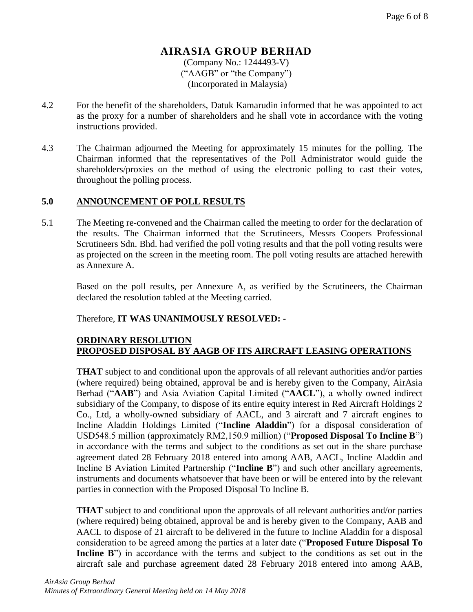(Company No.: 1244493-V) ("AAGB" or "the Company") (Incorporated in Malaysia)

- 4.2 For the benefit of the shareholders, Datuk Kamarudin informed that he was appointed to act as the proxy for a number of shareholders and he shall vote in accordance with the voting instructions provided.
- 4.3 The Chairman adjourned the Meeting for approximately 15 minutes for the polling. The Chairman informed that the representatives of the Poll Administrator would guide the shareholders/proxies on the method of using the electronic polling to cast their votes, throughout the polling process.

#### **5.0 ANNOUNCEMENT OF POLL RESULTS**

5.1 The Meeting re-convened and the Chairman called the meeting to order for the declaration of the results. The Chairman informed that the Scrutineers, Messrs Coopers Professional Scrutineers Sdn. Bhd. had verified the poll voting results and that the poll voting results were as projected on the screen in the meeting room. The poll voting results are attached herewith as Annexure A.

Based on the poll results, per Annexure A, as verified by the Scrutineers, the Chairman declared the resolution tabled at the Meeting carried.

#### Therefore, **IT WAS UNANIMOUSLY RESOLVED: -**

#### **ORDINARY RESOLUTION PROPOSED DISPOSAL BY AAGB OF ITS AIRCRAFT LEASING OPERATIONS**

**THAT** subject to and conditional upon the approvals of all relevant authorities and/or parties (where required) being obtained, approval be and is hereby given to the Company, AirAsia Berhad ("**AAB**") and Asia Aviation Capital Limited ("**AACL**"), a wholly owned indirect subsidiary of the Company, to dispose of its entire equity interest in Red Aircraft Holdings 2 Co., Ltd, a wholly-owned subsidiary of AACL, and 3 aircraft and 7 aircraft engines to Incline Aladdin Holdings Limited ("**Incline Aladdin**") for a disposal consideration of USD548.5 million (approximately RM2,150.9 million) ("**Proposed Disposal To Incline B**") in accordance with the terms and subject to the conditions as set out in the share purchase agreement dated 28 February 2018 entered into among AAB, AACL, Incline Aladdin and Incline B Aviation Limited Partnership ("**Incline B**") and such other ancillary agreements, instruments and documents whatsoever that have been or will be entered into by the relevant parties in connection with the Proposed Disposal To Incline B.

**THAT** subject to and conditional upon the approvals of all relevant authorities and/or parties (where required) being obtained, approval be and is hereby given to the Company, AAB and AACL to dispose of 21 aircraft to be delivered in the future to Incline Aladdin for a disposal consideration to be agreed among the parties at a later date ("**Proposed Future Disposal To Incline B**") in accordance with the terms and subject to the conditions as set out in the aircraft sale and purchase agreement dated 28 February 2018 entered into among AAB,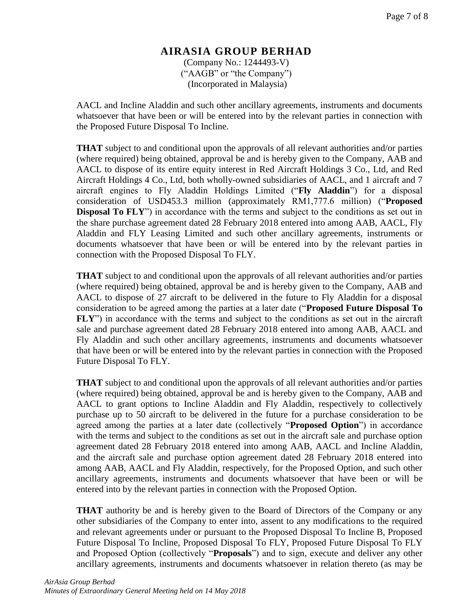(Company No.: 1244493-V) ("AAGB" or "the Company") (Incorporated in Malaysia)

AACL and Incline Aladdin and such other ancillary agreements, instruments and documents whatsoever that have been or will be entered into by the relevant parties in connection with the Proposed Future Disposal To Incline.

**THAT** subject to and conditional upon the approvals of all relevant authorities and/or parties (where required) being obtained, approval be and is hereby given to the Company, AAB and AACL to dispose of its entire equity interest in Red Aircraft Holdings 3 Co., Ltd, and Red Aircraft Holdings 4 Co., Ltd, both wholly-owned subsidiaries of AACL, and 1 aircraft and 7 aircraft engines to Fly Aladdin Holdings Limited ("**Fly Aladdin**") for a disposal consideration of USD453.3 million (approximately RM1,777.6 million) ("**Proposed Disposal To FLY**") in accordance with the terms and subject to the conditions as set out in the share purchase agreement dated 28 February 2018 entered into among AAB, AACL, Fly Aladdin and FLY Leasing Limited and such other ancillary agreements, instruments or documents whatsoever that have been or will be entered into by the relevant parties in connection with the Proposed Disposal To FLY.

**THAT** subject to and conditional upon the approvals of all relevant authorities and/or parties (where required) being obtained, approval be and is hereby given to the Company, AAB and AACL to dispose of 27 aircraft to be delivered in the future to Fly Aladdin for a disposal consideration to be agreed among the parties at a later date ("**Proposed Future Disposal To FLY**") in accordance with the terms and subject to the conditions as set out in the aircraft sale and purchase agreement dated 28 February 2018 entered into among AAB, AACL and Fly Aladdin and such other ancillary agreements, instruments and documents whatsoever that have been or will be entered into by the relevant parties in connection with the Proposed Future Disposal To FLY.

**THAT** subject to and conditional upon the approvals of all relevant authorities and/or parties (where required) being obtained, approval be and is hereby given to the Company, AAB and AACL to grant options to Incline Aladdin and Fly Aladdin, respectively to collectively purchase up to 50 aircraft to be delivered in the future for a purchase consideration to be agreed among the parties at a later date (collectively "**Proposed Option**") in accordance with the terms and subject to the conditions as set out in the aircraft sale and purchase option agreement dated 28 February 2018 entered into among AAB, AACL and Incline Aladdin, and the aircraft sale and purchase option agreement dated 28 February 2018 entered into among AAB, AACL and Fly Aladdin, respectively, for the Proposed Option, and such other ancillary agreements, instruments and documents whatsoever that have been or will be entered into by the relevant parties in connection with the Proposed Option.

**THAT** authority be and is hereby given to the Board of Directors of the Company or any other subsidiaries of the Company to enter into, assent to any modifications to the required and relevant agreements under or pursuant to the Proposed Disposal To Incline B, Proposed Future Disposal To Incline, Proposed Disposal To FLY, Proposed Future Disposal To FLY and Proposed Option (collectively "**Proposals**") and to sign, execute and deliver any other ancillary agreements, instruments and documents whatsoever in relation thereto (as may be